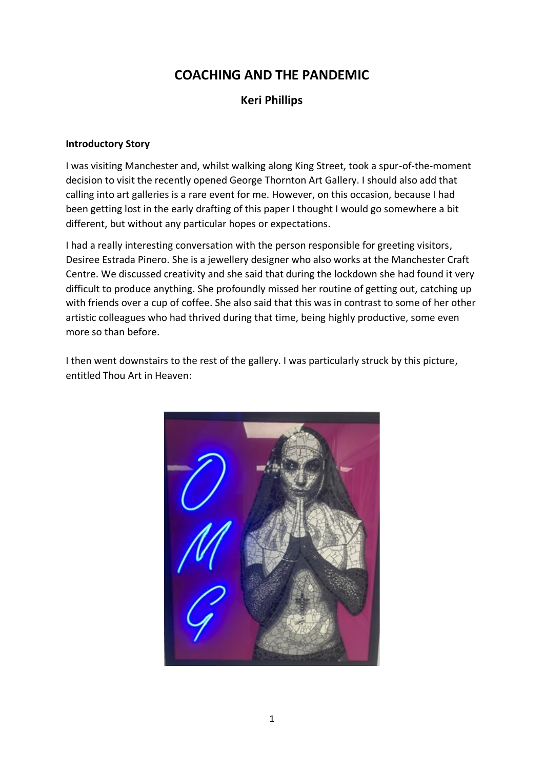# **COACHING AND THE PANDEMIC**

# **Keri Phillips**

#### **Introductory Story**

I was visiting Manchester and, whilst walking along King Street, took a spur-of-the-moment decision to visit the recently opened George Thornton Art Gallery. I should also add that calling into art galleries is a rare event for me. However, on this occasion, because I had been getting lost in the early drafting of this paper I thought I would go somewhere a bit different, but without any particular hopes or expectations.

I had a really interesting conversation with the person responsible for greeting visitors, Desiree Estrada Pinero. She is a jewellery designer who also works at the Manchester Craft Centre. We discussed creativity and she said that during the lockdown she had found it very difficult to produce anything. She profoundly missed her routine of getting out, catching up with friends over a cup of coffee. She also said that this was in contrast to some of her other artistic colleagues who had thrived during that time, being highly productive, some even more so than before.

I then went downstairs to the rest of the gallery. I was particularly struck by this picture, entitled Thou Art in Heaven:

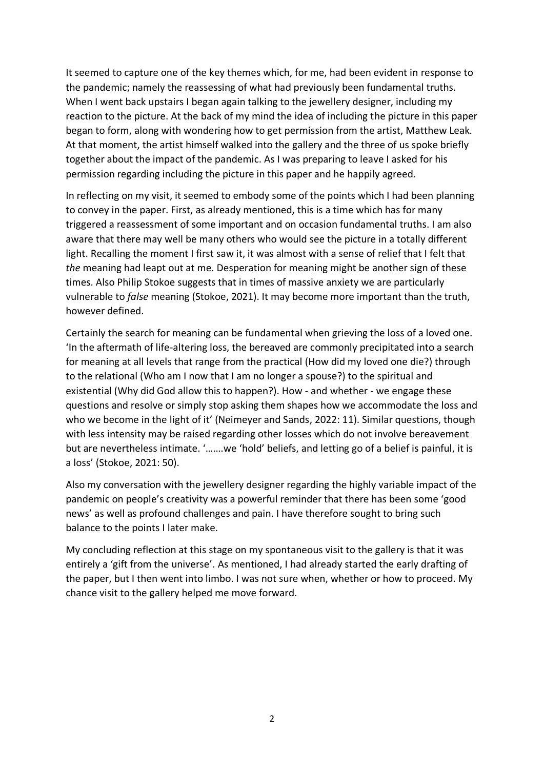It seemed to capture one of the key themes which, for me, had been evident in response to the pandemic; namely the reassessing of what had previously been fundamental truths. When I went back upstairs I began again talking to the jewellery designer, including my reaction to the picture. At the back of my mind the idea of including the picture in this paper began to form, along with wondering how to get permission from the artist, Matthew Leak. At that moment, the artist himself walked into the gallery and the three of us spoke briefly together about the impact of the pandemic. As I was preparing to leave I asked for his permission regarding including the picture in this paper and he happily agreed.

In reflecting on my visit, it seemed to embody some of the points which I had been planning to convey in the paper. First, as already mentioned, this is a time which has for many triggered a reassessment of some important and on occasion fundamental truths. I am also aware that there may well be many others who would see the picture in a totally different light. Recalling the moment I first saw it, it was almost with a sense of relief that I felt that *the* meaning had leapt out at me. Desperation for meaning might be another sign of these times. Also Philip Stokoe suggests that in times of massive anxiety we are particularly vulnerable to *false* meaning (Stokoe, 2021). It may become more important than the truth, however defined.

Certainly the search for meaning can be fundamental when grieving the loss of a loved one. 'In the aftermath of life-altering loss, the bereaved are commonly precipitated into a search for meaning at all levels that range from the practical (How did my loved one die?) through to the relational (Who am I now that I am no longer a spouse?) to the spiritual and existential (Why did God allow this to happen?). How - and whether - we engage these questions and resolve or simply stop asking them shapes how we accommodate the loss and who we become in the light of it' (Neimeyer and Sands, 2022: 11). Similar questions, though with less intensity may be raised regarding other losses which do not involve bereavement but are nevertheless intimate. '…….we 'hold' beliefs, and letting go of a belief is painful, it is a loss' (Stokoe, 2021: 50).

Also my conversation with the jewellery designer regarding the highly variable impact of the pandemic on people's creativity was a powerful reminder that there has been some 'good news' as well as profound challenges and pain. I have therefore sought to bring such balance to the points I later make.

My concluding reflection at this stage on my spontaneous visit to the gallery is that it was entirely a 'gift from the universe'. As mentioned, I had already started the early drafting of the paper, but I then went into limbo. I was not sure when, whether or how to proceed. My chance visit to the gallery helped me move forward.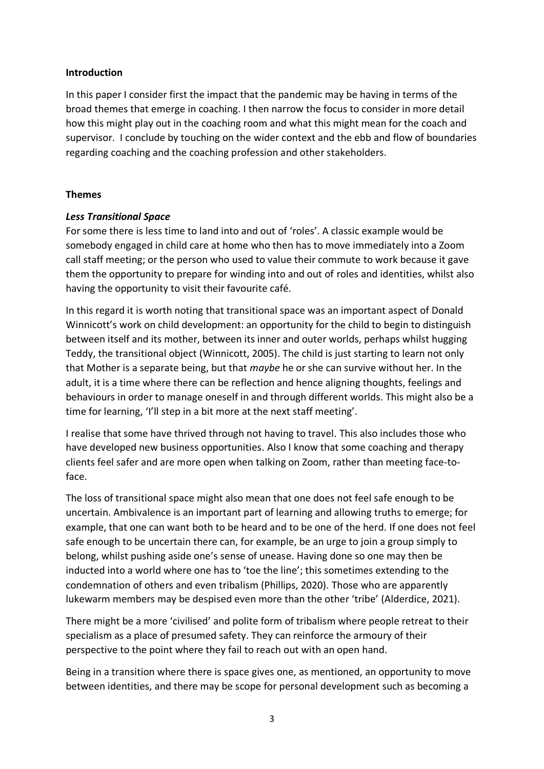#### **Introduction**

In this paper I consider first the impact that the pandemic may be having in terms of the broad themes that emerge in coaching. I then narrow the focus to consider in more detail how this might play out in the coaching room and what this might mean for the coach and supervisor. I conclude by touching on the wider context and the ebb and flow of boundaries regarding coaching and the coaching profession and other stakeholders.

## **Themes**

# *Less Transitional Space*

For some there is less time to land into and out of 'roles'. A classic example would be somebody engaged in child care at home who then has to move immediately into a Zoom call staff meeting; or the person who used to value their commute to work because it gave them the opportunity to prepare for winding into and out of roles and identities, whilst also having the opportunity to visit their favourite café.

In this regard it is worth noting that transitional space was an important aspect of Donald Winnicott's work on child development: an opportunity for the child to begin to distinguish between itself and its mother, between its inner and outer worlds, perhaps whilst hugging Teddy, the transitional object (Winnicott, 2005). The child is just starting to learn not only that Mother is a separate being, but that *maybe* he or she can survive without her. In the adult, it is a time where there can be reflection and hence aligning thoughts, feelings and behaviours in order to manage oneself in and through different worlds. This might also be a time for learning, 'I'll step in a bit more at the next staff meeting'.

I realise that some have thrived through not having to travel. This also includes those who have developed new business opportunities. Also I know that some coaching and therapy clients feel safer and are more open when talking on Zoom, rather than meeting face-toface.

The loss of transitional space might also mean that one does not feel safe enough to be uncertain. Ambivalence is an important part of learning and allowing truths to emerge; for example, that one can want both to be heard and to be one of the herd. If one does not feel safe enough to be uncertain there can, for example, be an urge to join a group simply to belong, whilst pushing aside one's sense of unease. Having done so one may then be inducted into a world where one has to 'toe the line'; this sometimes extending to the condemnation of others and even tribalism (Phillips, 2020). Those who are apparently lukewarm members may be despised even more than the other 'tribe' (Alderdice, 2021).

There might be a more 'civilised' and polite form of tribalism where people retreat to their specialism as a place of presumed safety. They can reinforce the armoury of their perspective to the point where they fail to reach out with an open hand.

Being in a transition where there is space gives one, as mentioned, an opportunity to move between identities, and there may be scope for personal development such as becoming a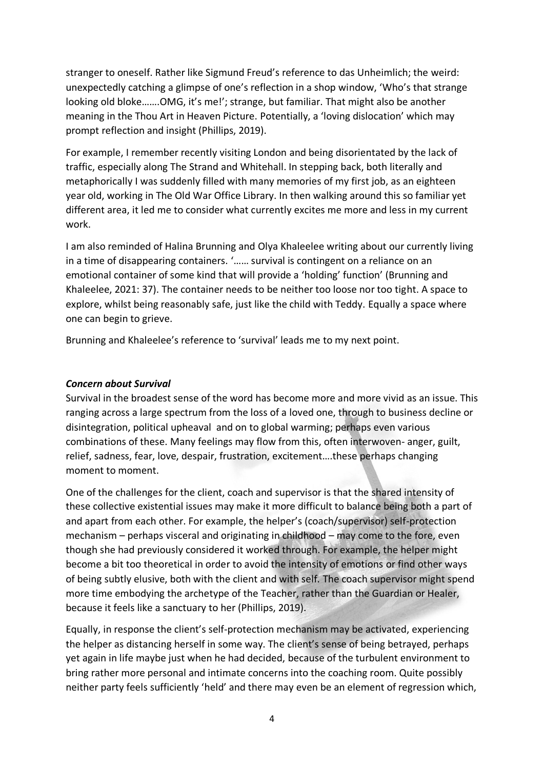stranger to oneself. Rather like Sigmund Freud's reference to das Unheimlich; the weird: unexpectedly catching a glimpse of one's reflection in a shop window, 'Who's that strange looking old bloke…….OMG, it's me!'; strange, but familiar. That might also be another meaning in the Thou Art in Heaven Picture. Potentially, a 'loving dislocation' which may prompt reflection and insight (Phillips, 2019).

For example, I remember recently visiting London and being disorientated by the lack of traffic, especially along The Strand and Whitehall. In stepping back, both literally and metaphorically I was suddenly filled with many memories of my first job, as an eighteen year old, working in The Old War Office Library. In then walking around this so familiar yet different area, it led me to consider what currently excites me more and less in my current work.

I am also reminded of Halina Brunning and Olya Khaleelee writing about our currently living in a time of disappearing containers. '…… survival is contingent on a reliance on an emotional container of some kind that will provide a 'holding' function' (Brunning and Khaleelee, 2021: 37). The container needs to be neither too loose nor too tight. A space to explore, whilst being reasonably safe, just like the child with Teddy. Equally a space where one can begin to grieve.

Brunning and Khaleelee's reference to 'survival' leads me to my next point.

# *Concern about Survival*

Survival in the broadest sense of the word has become more and more vivid as an issue. This ranging across a large spectrum from the loss of a loved one, through to business decline or disintegration, political upheaval and on to global warming; perhaps even various combinations of these. Many feelings may flow from this, often interwoven- anger, guilt, relief, sadness, fear, love, despair, frustration, excitement….these perhaps changing moment to moment.

One of the challenges for the client, coach and supervisor is that the shared intensity of these collective existential issues may make it more difficult to balance being both a part of and apart from each other. For example, the helper's (coach/supervisor) self-protection mechanism – perhaps visceral and originating in childhood – may come to the fore, even though she had previously considered it worked through. For example, the helper might become a bit too theoretical in order to avoid the intensity of emotions or find other ways of being subtly elusive, both with the client and with self. The coach supervisor might spend more time embodying the archetype of the Teacher, rather than the Guardian or Healer, because it feels like a sanctuary to her (Phillips, 2019).

Equally, in response the client's self-protection mechanism may be activated, experiencing the helper as distancing herself in some way. The client's sense of being betrayed, perhaps yet again in life maybe just when he had decided, because of the turbulent environment to bring rather more personal and intimate concerns into the coaching room. Quite possibly neither party feels sufficiently 'held' and there may even be an element of regression which,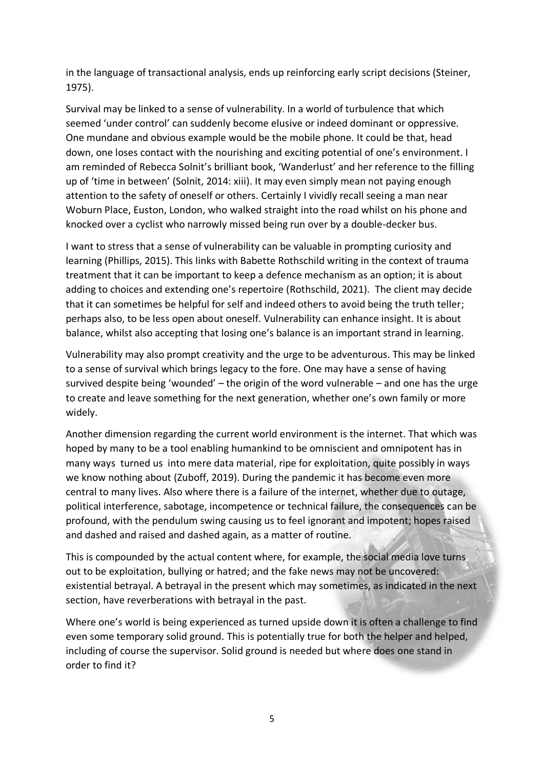in the language of transactional analysis, ends up reinforcing early script decisions (Steiner, 1975).

Survival may be linked to a sense of vulnerability. In a world of turbulence that which seemed 'under control' can suddenly become elusive or indeed dominant or oppressive. One mundane and obvious example would be the mobile phone. It could be that, head down, one loses contact with the nourishing and exciting potential of one's environment. I am reminded of Rebecca Solnit's brilliant book, 'Wanderlust' and her reference to the filling up of 'time in between' (Solnit, 2014: xiii). It may even simply mean not paying enough attention to the safety of oneself or others. Certainly I vividly recall seeing a man near Woburn Place, Euston, London, who walked straight into the road whilst on his phone and knocked over a cyclist who narrowly missed being run over by a double-decker bus.

I want to stress that a sense of vulnerability can be valuable in prompting curiosity and learning (Phillips, 2015). This links with Babette Rothschild writing in the context of trauma treatment that it can be important to keep a defence mechanism as an option; it is about adding to choices and extending one's repertoire (Rothschild, 2021). The client may decide that it can sometimes be helpful for self and indeed others to avoid being the truth teller; perhaps also, to be less open about oneself. Vulnerability can enhance insight. It is about balance, whilst also accepting that losing one's balance is an important strand in learning.

Vulnerability may also prompt creativity and the urge to be adventurous. This may be linked to a sense of survival which brings legacy to the fore. One may have a sense of having survived despite being 'wounded' – the origin of the word vulnerable – and one has the urge to create and leave something for the next generation, whether one's own family or more widely.

Another dimension regarding the current world environment is the internet. That which was hoped by many to be a tool enabling humankind to be omniscient and omnipotent has in many ways turned us into mere data material, ripe for exploitation, quite possibly in ways we know nothing about (Zuboff, 2019). During the pandemic it has become even more central to many lives. Also where there is a failure of the internet, whether due to outage, political interference, sabotage, incompetence or technical failure, the consequences can be profound, with the pendulum swing causing us to feel ignorant and impotent; hopes raised and dashed and raised and dashed again, as a matter of routine.

This is compounded by the actual content where, for example, the social media love turns out to be exploitation, bullying or hatred; and the fake news may not be uncovered: existential betrayal. A betrayal in the present which may sometimes, as indicated in the next section, have reverberations with betrayal in the past.

Where one's world is being experienced as turned upside down it is often a challenge to find even some temporary solid ground. This is potentially true for both the helper and helped, including of course the supervisor. Solid ground is needed but where does one stand in order to find it?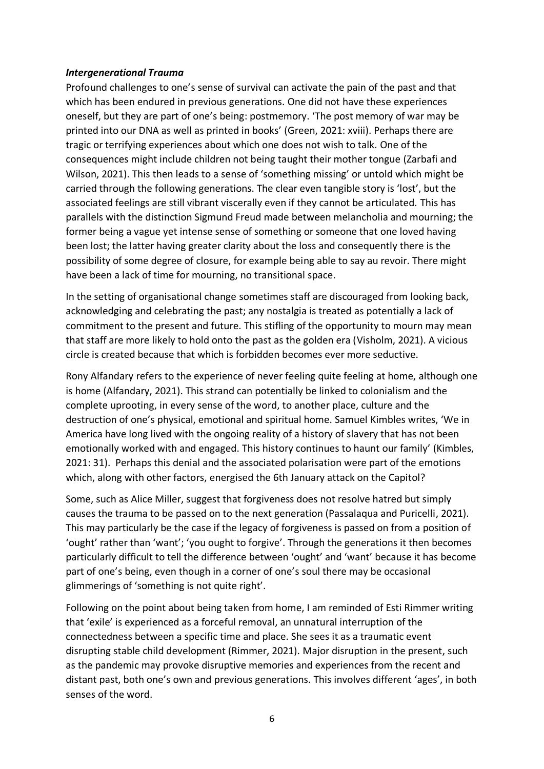### *Intergenerational Trauma*

Profound challenges to one's sense of survival can activate the pain of the past and that which has been endured in previous generations. One did not have these experiences oneself, but they are part of one's being: postmemory. 'The post memory of war may be printed into our DNA as well as printed in books' (Green, 2021: xviii). Perhaps there are tragic or terrifying experiences about which one does not wish to talk. One of the consequences might include children not being taught their mother tongue (Zarbafi and Wilson, 2021). This then leads to a sense of 'something missing' or untold which might be carried through the following generations. The clear even tangible story is 'lost', but the associated feelings are still vibrant viscerally even if they cannot be articulated. This has parallels with the distinction Sigmund Freud made between melancholia and mourning; the former being a vague yet intense sense of something or someone that one loved having been lost; the latter having greater clarity about the loss and consequently there is the possibility of some degree of closure, for example being able to say au revoir. There might have been a lack of time for mourning, no transitional space.

In the setting of organisational change sometimes staff are discouraged from looking back, acknowledging and celebrating the past; any nostalgia is treated as potentially a lack of commitment to the present and future. This stifling of the opportunity to mourn may mean that staff are more likely to hold onto the past as the golden era (Visholm, 2021). A vicious circle is created because that which is forbidden becomes ever more seductive.

Rony Alfandary refers to the experience of never feeling quite feeling at home, although one is home (Alfandary, 2021). This strand can potentially be linked to colonialism and the complete uprooting, in every sense of the word, to another place, culture and the destruction of one's physical, emotional and spiritual home. Samuel Kimbles writes, 'We in America have long lived with the ongoing reality of a history of slavery that has not been emotionally worked with and engaged. This history continues to haunt our family' (Kimbles, 2021: 31). Perhaps this denial and the associated polarisation were part of the emotions which, along with other factors, energised the 6th January attack on the Capitol?

Some, such as Alice Miller, suggest that forgiveness does not resolve hatred but simply causes the trauma to be passed on to the next generation (Passalaqua and Puricelli, 2021). This may particularly be the case if the legacy of forgiveness is passed on from a position of 'ought' rather than 'want'; 'you ought to forgive'. Through the generations it then becomes particularly difficult to tell the difference between 'ought' and 'want' because it has become part of one's being, even though in a corner of one's soul there may be occasional glimmerings of 'something is not quite right'.

Following on the point about being taken from home, I am reminded of Esti Rimmer writing that 'exile' is experienced as a forceful removal, an unnatural interruption of the connectedness between a specific time and place. She sees it as a traumatic event disrupting stable child development (Rimmer, 2021). Major disruption in the present, such as the pandemic may provoke disruptive memories and experiences from the recent and distant past, both one's own and previous generations. This involves different 'ages', in both senses of the word.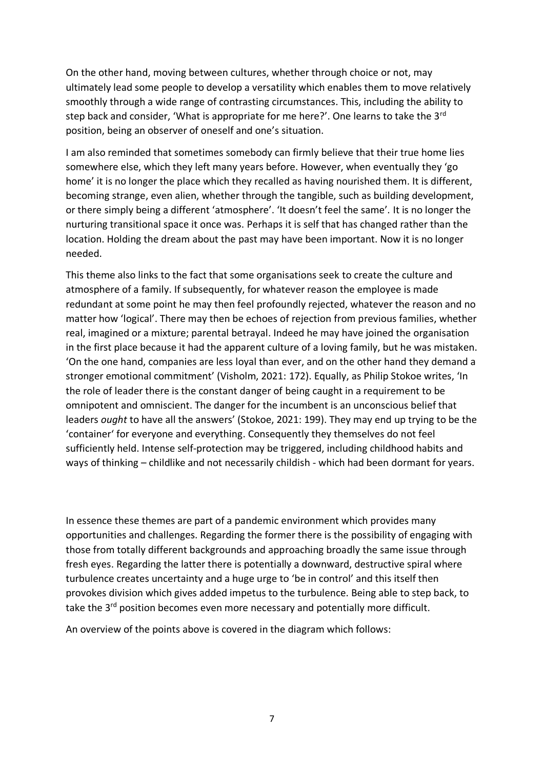On the other hand, moving between cultures, whether through choice or not, may ultimately lead some people to develop a versatility which enables them to move relatively smoothly through a wide range of contrasting circumstances. This, including the ability to step back and consider, 'What is appropriate for me here?'. One learns to take the 3rd position, being an observer of oneself and one's situation.

I am also reminded that sometimes somebody can firmly believe that their true home lies somewhere else, which they left many years before. However, when eventually they 'go home' it is no longer the place which they recalled as having nourished them. It is different, becoming strange, even alien, whether through the tangible, such as building development, or there simply being a different 'atmosphere'. 'It doesn't feel the same'. It is no longer the nurturing transitional space it once was. Perhaps it is self that has changed rather than the location. Holding the dream about the past may have been important. Now it is no longer needed.

This theme also links to the fact that some organisations seek to create the culture and atmosphere of a family. If subsequently, for whatever reason the employee is made redundant at some point he may then feel profoundly rejected, whatever the reason and no matter how 'logical'. There may then be echoes of rejection from previous families, whether real, imagined or a mixture; parental betrayal. Indeed he may have joined the organisation in the first place because it had the apparent culture of a loving family, but he was mistaken. 'On the one hand, companies are less loyal than ever, and on the other hand they demand a stronger emotional commitment' (Visholm, 2021: 172). Equally, as Philip Stokoe writes, 'In the role of leader there is the constant danger of being caught in a requirement to be omnipotent and omniscient. The danger for the incumbent is an unconscious belief that leaders *ought* to have all the answers' (Stokoe, 2021: 199). They may end up trying to be the 'container' for everyone and everything. Consequently they themselves do not feel sufficiently held. Intense self-protection may be triggered, including childhood habits and ways of thinking – childlike and not necessarily childish - which had been dormant for years.

In essence these themes are part of a pandemic environment which provides many opportunities and challenges. Regarding the former there is the possibility of engaging with those from totally different backgrounds and approaching broadly the same issue through fresh eyes. Regarding the latter there is potentially a downward, destructive spiral where turbulence creates uncertainty and a huge urge to 'be in control' and this itself then provokes division which gives added impetus to the turbulence. Being able to step back, to take the 3<sup>rd</sup> position becomes even more necessary and potentially more difficult.

An overview of the points above is covered in the diagram which follows: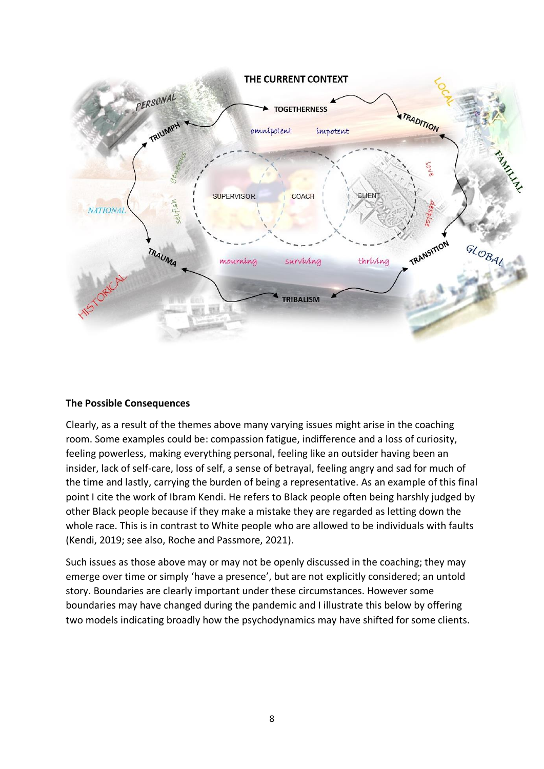

#### **The Possible Consequences**

Clearly, as a result of the themes above many varying issues might arise in the coaching room. Some examples could be: compassion fatigue, indifference and a loss of curiosity, feeling powerless, making everything personal, feeling like an outsider having been an insider, lack of self-care, loss of self, a sense of betrayal, feeling angry and sad for much of the time and lastly, carrying the burden of being a representative. As an example of this final point I cite the work of Ibram Kendi. He refers to Black people often being harshly judged by other Black people because if they make a mistake they are regarded as letting down the whole race. This is in contrast to White people who are allowed to be individuals with faults (Kendi, 2019; see also, Roche and Passmore, 2021).

Such issues as those above may or may not be openly discussed in the coaching; they may emerge over time or simply 'have a presence', but are not explicitly considered; an untold story. Boundaries are clearly important under these circumstances. However some boundaries may have changed during the pandemic and I illustrate this below by offering two models indicating broadly how the psychodynamics may have shifted for some clients.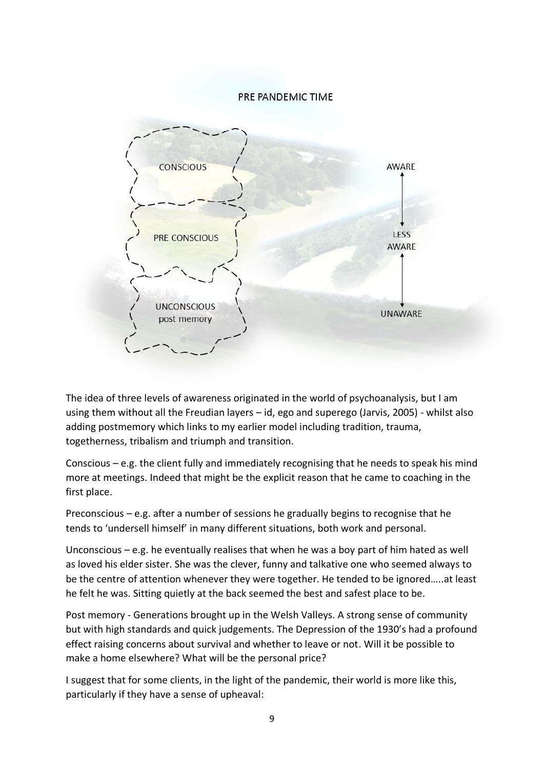#### PRE PANDEMIC TIME



The idea of three levels of awareness originated in the world of psychoanalysis, but I am using them without all the Freudian layers – id, ego and superego (Jarvis, 2005) - whilst also adding postmemory which links to my earlier model including tradition, trauma, togetherness, tribalism and triumph and transition.

Conscious – e.g. the client fully and immediately recognising that he needs to speak his mind more at meetings. Indeed that might be the explicit reason that he came to coaching in the first place.

Preconscious – e.g. after a number of sessions he gradually begins to recognise that he tends to 'undersell himself' in many different situations, both work and personal.

Unconscious – e.g. he eventually realises that when he was a boy part of him hated as well as loved his elder sister. She was the clever, funny and talkative one who seemed always to be the centre of attention whenever they were together. He tended to be ignored…..at least he felt he was. Sitting quietly at the back seemed the best and safest place to be.

Post memory - Generations brought up in the Welsh Valleys. A strong sense of community but with high standards and quick judgements. The Depression of the 1930's had a profound effect raising concerns about survival and whether to leave or not. Will it be possible to make a home elsewhere? What will be the personal price?

I suggest that for some clients, in the light of the pandemic, their world is more like this, particularly if they have a sense of upheaval: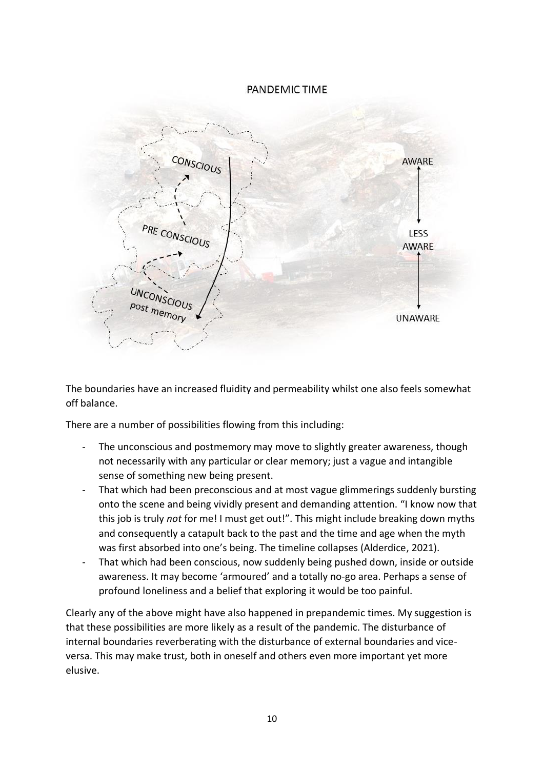# PANDEMIC TIME



The boundaries have an increased fluidity and permeability whilst one also feels somewhat off balance.

There are a number of possibilities flowing from this including:

- The unconscious and postmemory may move to slightly greater awareness, though not necessarily with any particular or clear memory; just a vague and intangible sense of something new being present.
- That which had been preconscious and at most vague glimmerings suddenly bursting onto the scene and being vividly present and demanding attention. "I know now that this job is truly *not* for me! I must get out!". This might include breaking down myths and consequently a catapult back to the past and the time and age when the myth was first absorbed into one's being. The timeline collapses (Alderdice, 2021).
- That which had been conscious, now suddenly being pushed down, inside or outside awareness. It may become 'armoured' and a totally no-go area. Perhaps a sense of profound loneliness and a belief that exploring it would be too painful.

Clearly any of the above might have also happened in prepandemic times. My suggestion is that these possibilities are more likely as a result of the pandemic. The disturbance of internal boundaries reverberating with the disturbance of external boundaries and viceversa. This may make trust, both in oneself and others even more important yet more elusive.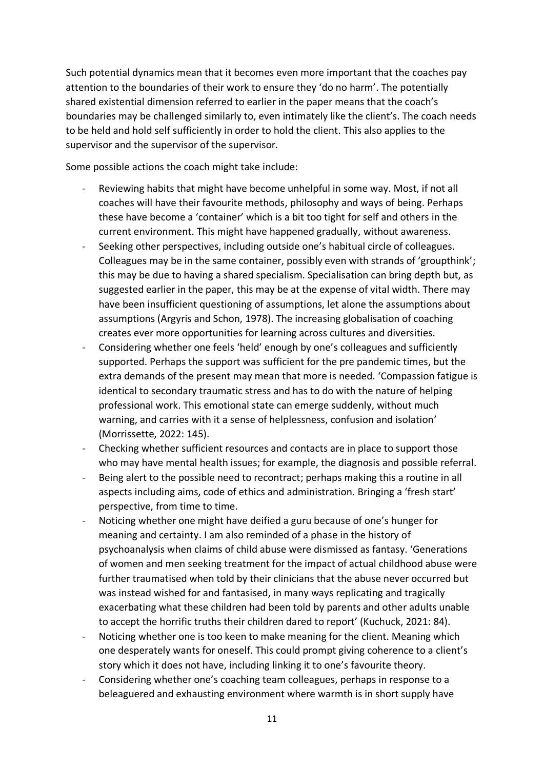Such potential dynamics mean that it becomes even more important that the coaches pay attention to the boundaries of their work to ensure they 'do no harm'. The potentially shared existential dimension referred to earlier in the paper means that the coach's boundaries may be challenged similarly to, even intimately like the client's. The coach needs to be held and hold self sufficiently in order to hold the client. This also applies to the supervisor and the supervisor of the supervisor.

Some possible actions the coach might take include:

- Reviewing habits that might have become unhelpful in some way. Most, if not all coaches will have their favourite methods, philosophy and ways of being. Perhaps these have become a 'container' which is a bit too tight for self and others in the current environment. This might have happened gradually, without awareness.
- Seeking other perspectives, including outside one's habitual circle of colleagues. Colleagues may be in the same container, possibly even with strands of 'groupthink'; this may be due to having a shared specialism. Specialisation can bring depth but, as suggested earlier in the paper, this may be at the expense of vital width. There may have been insufficient questioning of assumptions, let alone the assumptions about assumptions (Argyris and Schon, 1978). The increasing globalisation of coaching creates ever more opportunities for learning across cultures and diversities.
- Considering whether one feels 'held' enough by one's colleagues and sufficiently supported. Perhaps the support was sufficient for the pre pandemic times, but the extra demands of the present may mean that more is needed. 'Compassion fatigue is identical to secondary traumatic stress and has to do with the nature of helping professional work. This emotional state can emerge suddenly, without much warning, and carries with it a sense of helplessness, confusion and isolation' (Morrissette, 2022: 145).
- Checking whether sufficient resources and contacts are in place to support those who may have mental health issues; for example, the diagnosis and possible referral.
- Being alert to the possible need to recontract; perhaps making this a routine in all aspects including aims, code of ethics and administration. Bringing a 'fresh start' perspective, from time to time.
- Noticing whether one might have deified a guru because of one's hunger for meaning and certainty. I am also reminded of a phase in the history of psychoanalysis when claims of child abuse were dismissed as fantasy. 'Generations of women and men seeking treatment for the impact of actual childhood abuse were further traumatised when told by their clinicians that the abuse never occurred but was instead wished for and fantasised, in many ways replicating and tragically exacerbating what these children had been told by parents and other adults unable to accept the horrific truths their children dared to report' (Kuchuck, 2021: 84).
- Noticing whether one is too keen to make meaning for the client. Meaning which one desperately wants for oneself. This could prompt giving coherence to a client's story which it does not have, including linking it to one's favourite theory.
- Considering whether one's coaching team colleagues, perhaps in response to a beleaguered and exhausting environment where warmth is in short supply have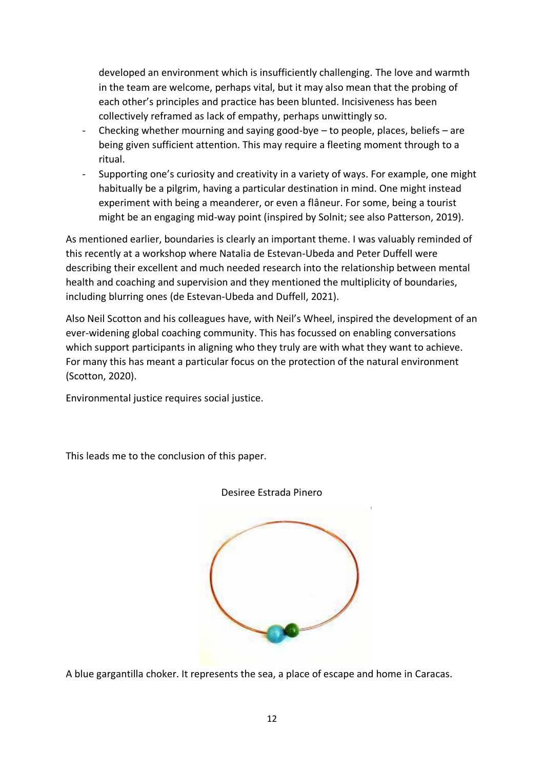developed an environment which is insufficiently challenging. The love and warmth in the team are welcome, perhaps vital, but it may also mean that the probing of each other's principles and practice has been blunted. Incisiveness has been collectively reframed as lack of empathy, perhaps unwittingly so.

- Checking whether mourning and saying good-bye  $-$  to people, places, beliefs  $-$  are being given sufficient attention. This may require a fleeting moment through to a ritual.
- Supporting one's curiosity and creativity in a variety of ways. For example, one might habitually be a pilgrim, having a particular destination in mind. One might instead experiment with being a meanderer, or even a flâneur. For some, being a tourist might be an engaging mid-way point (inspired by Solnit; see also Patterson, 2019).

As mentioned earlier, boundaries is clearly an important theme. I was valuably reminded of this recently at a workshop where Natalia de Estevan-Ubeda and Peter Duffell were describing their excellent and much needed research into the relationship between mental health and coaching and supervision and they mentioned the multiplicity of boundaries, including blurring ones (de Estevan-Ubeda and Duffell, 2021).

Also Neil Scotton and his colleagues have, with Neil's Wheel, inspired the development of an ever-widening global coaching community. This has focussed on enabling conversations which support participants in aligning who they truly are with what they want to achieve. For many this has meant a particular focus on the protection of the natural environment (Scotton, 2020).

Environmental justice requires social justice.

This leads me to the conclusion of this paper.



Desiree Estrada Pinero

A blue gargantilla choker. It represents the sea, a place of escape and home in Caracas.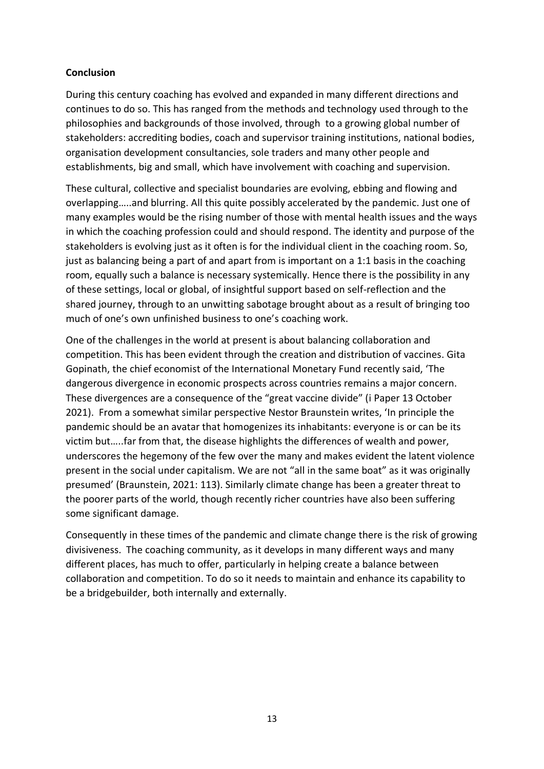# **Conclusion**

During this century coaching has evolved and expanded in many different directions and continues to do so. This has ranged from the methods and technology used through to the philosophies and backgrounds of those involved, through to a growing global number of stakeholders: accrediting bodies, coach and supervisor training institutions, national bodies, organisation development consultancies, sole traders and many other people and establishments, big and small, which have involvement with coaching and supervision.

These cultural, collective and specialist boundaries are evolving, ebbing and flowing and overlapping…..and blurring. All this quite possibly accelerated by the pandemic. Just one of many examples would be the rising number of those with mental health issues and the ways in which the coaching profession could and should respond. The identity and purpose of the stakeholders is evolving just as it often is for the individual client in the coaching room. So, just as balancing being a part of and apart from is important on a 1:1 basis in the coaching room, equally such a balance is necessary systemically. Hence there is the possibility in any of these settings, local or global, of insightful support based on self-reflection and the shared journey, through to an unwitting sabotage brought about as a result of bringing too much of one's own unfinished business to one's coaching work.

One of the challenges in the world at present is about balancing collaboration and competition. This has been evident through the creation and distribution of vaccines. Gita Gopinath, the chief economist of the International Monetary Fund recently said, 'The dangerous divergence in economic prospects across countries remains a major concern. These divergences are a consequence of the "great vaccine divide" (i Paper 13 October 2021). From a somewhat similar perspective Nestor Braunstein writes, 'In principle the pandemic should be an avatar that homogenizes its inhabitants: everyone is or can be its victim but…..far from that, the disease highlights the differences of wealth and power, underscores the hegemony of the few over the many and makes evident the latent violence present in the social under capitalism. We are not "all in the same boat" as it was originally presumed' (Braunstein, 2021: 113). Similarly climate change has been a greater threat to the poorer parts of the world, though recently richer countries have also been suffering some significant damage.

Consequently in these times of the pandemic and climate change there is the risk of growing divisiveness. The coaching community, as it develops in many different ways and many different places, has much to offer, particularly in helping create a balance between collaboration and competition. To do so it needs to maintain and enhance its capability to be a bridgebuilder, both internally and externally.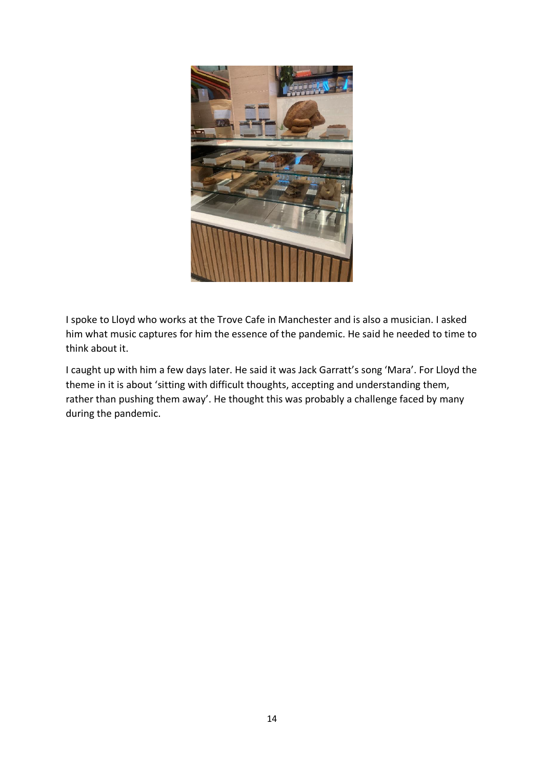

I spoke to Lloyd who works at the Trove Cafe in Manchester and is also a musician. I asked him what music captures for him the essence of the pandemic. He said he needed to time to think about it.

I caught up with him a few days later. He said it was Jack Garratt's song 'Mara'. For Lloyd the theme in it is about 'sitting with difficult thoughts, accepting and understanding them, rather than pushing them away'. He thought this was probably a challenge faced by many during the pandemic.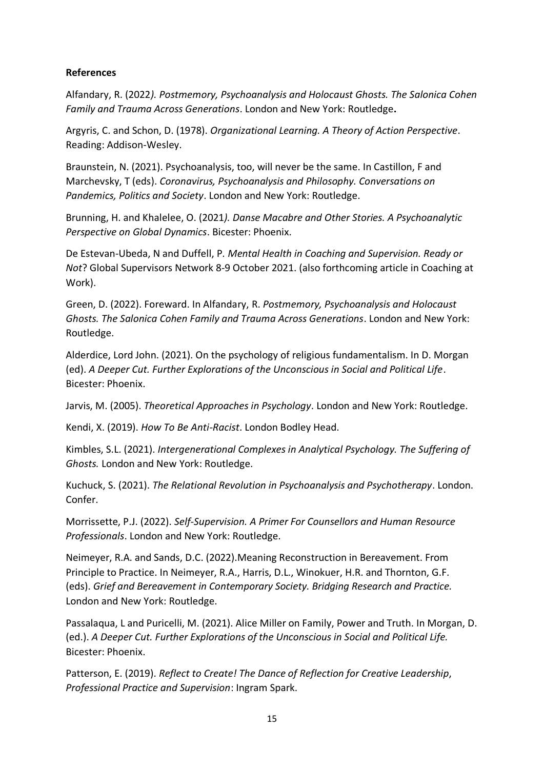# **References**

Alfandary, R. (2022*). Postmemory, Psychoanalysis and Holocaust Ghosts. The Salonica Cohen Family and Trauma Across Generations*. London and New York: Routledge**.**

Argyris, C. and Schon, D. (1978). *Organizational Learning. A Theory of Action Perspective*. Reading: Addison-Wesley.

Braunstein, N. (2021). Psychoanalysis, too, will never be the same. In Castillon, F and Marchevsky, T (eds). *Coronavirus, Psychoanalysis and Philosophy. Conversations on Pandemics, Politics and Society*. London and New York: Routledge.

Brunning, H. and Khalelee, O. (2021*). Danse Macabre and Other Stories. A Psychoanalytic Perspective on Global Dynamics*. Bicester: Phoenix.

De Estevan-Ubeda, N and Duffell, P*. Mental Health in Coaching and Supervision. Ready or Not*? Global Supervisors Network 8-9 October 2021. (also forthcoming article in Coaching at Work).

Green, D. (2022). Foreward. In Alfandary, R. *Postmemory, Psychoanalysis and Holocaust Ghosts. The Salonica Cohen Family and Trauma Across Generations*. London and New York: Routledge.

Alderdice, Lord John. (2021). On the psychology of religious fundamentalism. In D. Morgan (ed). *A Deeper Cut. Further Explorations of the Unconscious in Social and Political Life*. Bicester: Phoenix.

Jarvis, M. (2005). *Theoretical Approaches in Psychology*. London and New York: Routledge.

Kendi, X. (2019). *How To Be Anti-Racist*. London Bodley Head.

Kimbles, S.L. (2021). *Intergenerational Complexes in Analytical Psychology. The Suffering of Ghosts.* London and New York: Routledge.

Kuchuck, S. (2021). *The Relational Revolution in Psychoanalysis and Psychotherapy*. London. Confer.

Morrissette, P.J. (2022). *Self-Supervision. A Primer For Counsellors and Human Resource Professionals*. London and New York: Routledge.

Neimeyer, R.A. and Sands, D.C. (2022).Meaning Reconstruction in Bereavement. From Principle to Practice. In Neimeyer, R.A., Harris, D.L., Winokuer, H.R. and Thornton, G.F. (eds). *Grief and Bereavement in Contemporary Society. Bridging Research and Practice.* London and New York: Routledge.

Passalaqua, L and Puricelli, M. (2021). Alice Miller on Family, Power and Truth. In Morgan, D. (ed.). *A Deeper Cut. Further Explorations of the Unconscious in Social and Political Life.* Bicester: Phoenix.

Patterson, E. (2019). *Reflect to Create! The Dance of Reflection for Creative Leadership*, *Professional Practice and Supervision*: Ingram Spark.